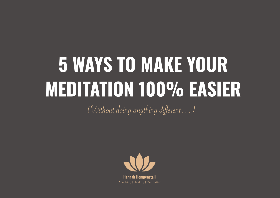# **5 WAYS TO MAKE YOUR MEDITATION 100% EASIER**

(Without doing anything different…)



**Hannah Hempenstall** Coaching | Healing | Meditation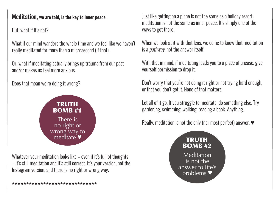#### Meditation, we are told, is the key to inner peace.

But, what if it's not?

What if our mind wanders the whole time and we feel like we haven't really meditated for more than a microsecond (if that).

Or, what if meditating actually brings up trauma from our past and/or makes us feel more anxious.

Does that mean we're doing it wrong?



Whatever your meditation looks like – even if it's full of thoughts – it's still meditation and it's still correct. It's your version, not the Instagram version, and there is no right or wrong way.

������������������������������

Just like getting on a plane is not the same as a holiday resort; meditation is not the same as inner peace. It's simply one of the ways to get there.

When we look at it with that lens, we come to know that meditation is a *pathway*, not the answer itself.

With that in mind, if meditating leads you to a place of unease, give yourself permission to drop it.

Don't worry that you're not doing it right or not trying hard enough, or that you don't get it. None of that matters.

Let all of it go. If you struggle to meditate, do something else. Try gardening, swimming, walking, reading a book. Anything.

There is<br>Really, meditation is not the only (nor most perfect) answer. ▼<br>There is

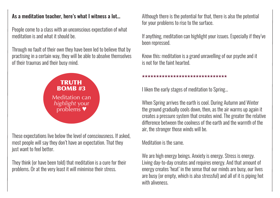#### As a meditation teacher, here's what I witness a lot…

People come to a class with an unconscious expectation of what meditation is and what it should be.

Through no fault of their own they have been led to believe that by practising in a certain way, they will be able to absolve themselves of their traumas and their busy mind.



These expectations live below the level of consciousness. If asked, most people will say they don't have an expectation. That they just want to feel better.

They think (or have been told) that meditation is a cure for their problems. Or at the very least it will minimise their stress.

Although there is the potential for that, there is also the potential for your problems to rise to the surface.

If anything, meditation can highlight your issues. Especially if they've been repressed.

Know this: meditation is a grand unravelling of our psyche and it is not for the faint hearted.

#### ������������������������������

I liken the early stages of meditation to Spring…

When Spring arrives the earth is cool. During Autumn and Winter the ground gradually cools down, then, as the air warms up again it creates a pressure system that creates wind. The greater the relative difference between the coolness of the earth and the warmth of the air, the stronger those winds will be.

Meditation is the same.

We are high energy beings. Anxiety is energy. Stress is energy. Living day-to-day creates and requires energy. And that amount of energy creates 'heat' in the sense that our minds are busy, our lives are busy (or empty, which is also stressful) and all of it is piping hot with aliveness.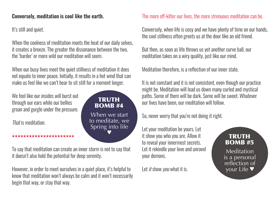#### Conversely, meditation is cool like the earth.

It's still and quiet.

When the coolness of meditation meets the heat of our daily selves, it creates a breeze. The greater the dissonance between the two, the 'harder' or more wild our meditation will seem.

When our busy lives meet the quiet stillness of meditation it does not equate to inner peace. Initially, it results in a hot wind that can make us feel like we can't bear to sit still for a moment longer.

We feel like our insides will burst out through our ears while our bellies groan and gurgle under the pressure.

That is meditation

\*\*\*\*\*\*\*\*\*\*\*\*\*\*\*\*\*\*\*\*\*\*\*\*\*\*\*\*\*\*\*\*\*\*\*\*

When we start TRUTH BOMB #4

to meditate, we Spring into life ♥

To say that meditation can create an inner storm is not to say that it doesn't also hold the potential for deep serenity.

However, in order to meet ourselves in a quiet place, it's helpful to know that meditation won't always be calm and it won't necessarily begin that way, or stay that way.

#### The more off-kilter our lives, the more strenuous meditation can be.

Conversely, when life is cosy and we have plenty of time on our hands, the cool stillness often greets us at the door like an old friend.

But then, as soon as life throws us yet another curve ball, our meditation takes on a wiry quality, just like our mind.

Meditation therefore, is a reflection of our inner state.

It is not constant and it is not consistent, even though our practice might be. Meditation will lead us down many curled and mystical paths. Some of them will be dark. Some will be sweet. Whatever our lives have been, our meditation will follow.

So, never worry that you're not doing it right.

Let your meditation be yours. Let it show you who you are. Allow it to reveal your innermost secrets. Let it rekindle your love and unravel your demons.

Let *it* show *you* what it is.

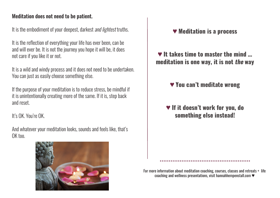#### Meditation does not need to be patient.

It is the embodiment of your deepest, darkest *and lightest* truths.

It is the reflection of everything your life has ever been, can be and will ever be. It is not the journey you hope it will be, it does not care if you like it or not.

It is a wild and windy process and it does not need to be undertaken. You can just as easily choose something else.

If the purpose of your meditation is to reduce stress, be mindful if it is unintentionally creating more of the same. If it is, step back and reset.

It's OK. You're OK.

And whatever your meditation looks, sounds and feels like, that's OK too.



#### ♥ Meditation is a process

♥ It takes time to master the mind … meditation is one way, it is not *the* way

### ♥ You can't meditate wrong

♥ If it doesn't work for you, do something else instead!

For more information about meditation coaching, courses, classes and retreats + life coaching and wellness presentations, visit hannahhempenstall.com ♥

**••••••••••••••••••••••••••••••••••••••••••••••••••**